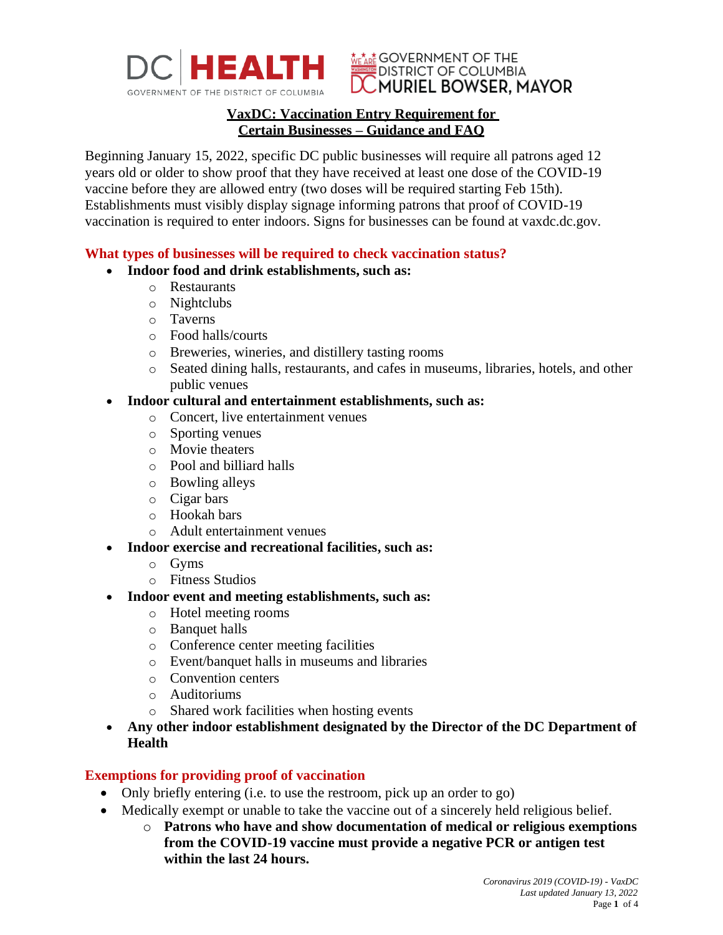

#### **WE ARE GOVERNMENT OF THE EDISTRICT OF COLUMBIA** LUMURIEL BOWSER, MAYOR

## **VaxDC: Vaccination Entry Requirement for Certain Businesses – Guidance and FAQ**

Beginning January 15, 2022, specific DC public businesses will require all patrons aged 12 years old or older to show proof that they have received at least one dose of the COVID-19 vaccine before they are allowed entry (two doses will be required starting Feb 15th). Establishments must visibly display signage informing patrons that proof of COVID-19 vaccination is required to enter indoors. Signs for businesses can be found at vaxdc.dc.gov.

## **What types of businesses will be required to check vaccination status?**

## • **Indoor food and drink establishments, such as:**

- o Restaurants
- o Nightclubs
- o Taverns
- o Food halls/courts
- o Breweries, wineries, and distillery tasting rooms
- o Seated dining halls, restaurants, and cafes in museums, libraries, hotels, and other public venues

## • **Indoor cultural and entertainment establishments, such as:**

- o Concert, live entertainment venues
- o Sporting venues
- o Movie theaters
- o Pool and billiard halls
- o Bowling alleys
- o Cigar bars
- o Hookah bars
- o Adult entertainment venues
- **Indoor exercise and recreational facilities, such as:**
	- o Gyms
	- o Fitness Studios
- **Indoor event and meeting establishments, such as:**
	- o Hotel meeting rooms
	- o Banquet halls
	- o Conference center meeting facilities
	- o Event/banquet halls in museums and libraries
	- o Convention centers
	- o Auditoriums
	- o Shared work facilities when hosting events
- **Any other indoor establishment designated by the Director of the DC Department of Health**

# **Exemptions for providing proof of vaccination**

- Only briefly entering (i.e. to use the restroom, pick up an order to go)
- Medically exempt or unable to take the vaccine out of a sincerely held religious belief.
	- o **Patrons who have and show documentation of medical or religious exemptions from the COVID-19 vaccine must provide a negative PCR or antigen test within the last 24 hours.**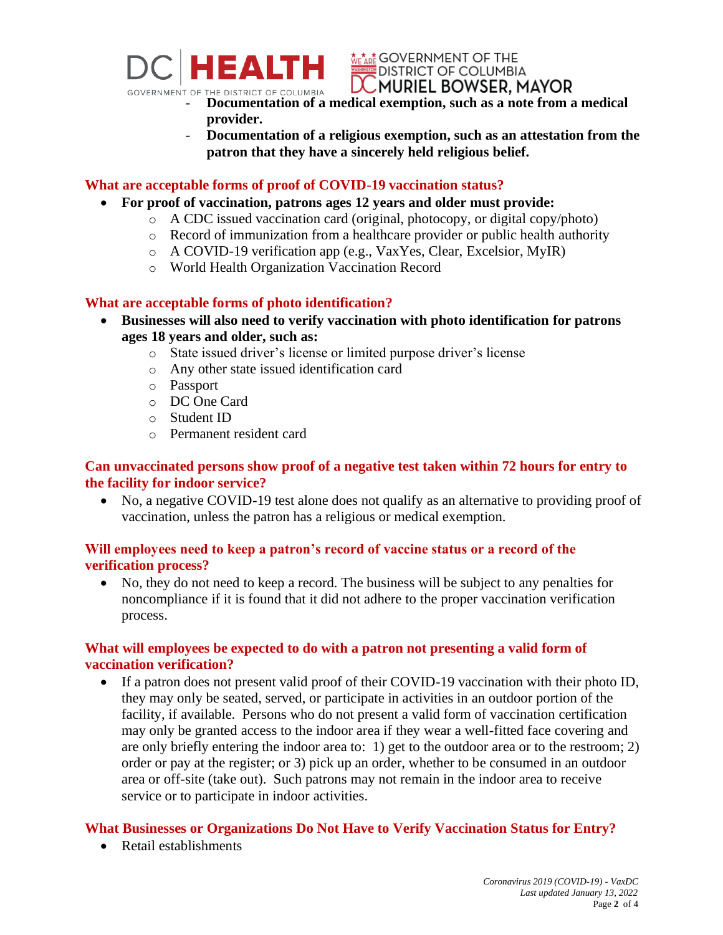

**WE ARE GOVERNMENT OF THE DISTRICT OF COLUMBIA LCMURIEL BOWSER, MAYOR** 

- **GOVERNMENT OF THE DISTRICT OF COLUMBIA**<br>- **Documentation of a medical exemption, such as a note from a medical provider.**
	- **Documentation of a religious exemption, such as an attestation from the patron that they have a sincerely held religious belief.**

# **What are acceptable forms of proof of COVID-19 vaccination status?**

- **For proof of vaccination, patrons ages 12 years and older must provide:** 
	- o A CDC issued vaccination card (original, photocopy, or digital copy/photo)
	- o Record of immunization from a healthcare provider or public health authority
	- o A COVID-19 verification app (e.g., VaxYes, Clear, Excelsior, MyIR)
	- o World Health Organization Vaccination Record

# **What are acceptable forms of photo identification?**

- **Businesses will also need to verify vaccination with photo identification for patrons ages 18 years and older, such as:**
	- o State issued driver's license or limited purpose driver's license
	- o Any other state issued identification card
	- o Passport
	- o DC One Card
	- o Student ID
	- o Permanent resident card

# **Can unvaccinated persons show proof of a negative test taken within 72 hours for entry to the facility for indoor service?**

• No, a negative COVID-19 test alone does not qualify as an alternative to providing proof of vaccination, unless the patron has a religious or medical exemption.

# **Will employees need to keep a patron's record of vaccine status or a record of the verification process?**

• No, they do not need to keep a record. The business will be subject to any penalties for noncompliance if it is found that it did not adhere to the proper vaccination verification process.

# **What will employees be expected to do with a patron not presenting a valid form of vaccination verification?**

• If a patron does not present valid proof of their COVID-19 vaccination with their photo ID, they may only be seated, served, or participate in activities in an outdoor portion of the facility, if available. Persons who do not present a valid form of vaccination certification may only be granted access to the indoor area if they wear a well-fitted face covering and are only briefly entering the indoor area to: 1) get to the outdoor area or to the restroom; 2) order or pay at the register; or 3) pick up an order, whether to be consumed in an outdoor area or off-site (take out). Such patrons may not remain in the indoor area to receive service or to participate in indoor activities.

# **What Businesses or Organizations Do Not Have to Verify Vaccination Status for Entry?**

• Retail establishments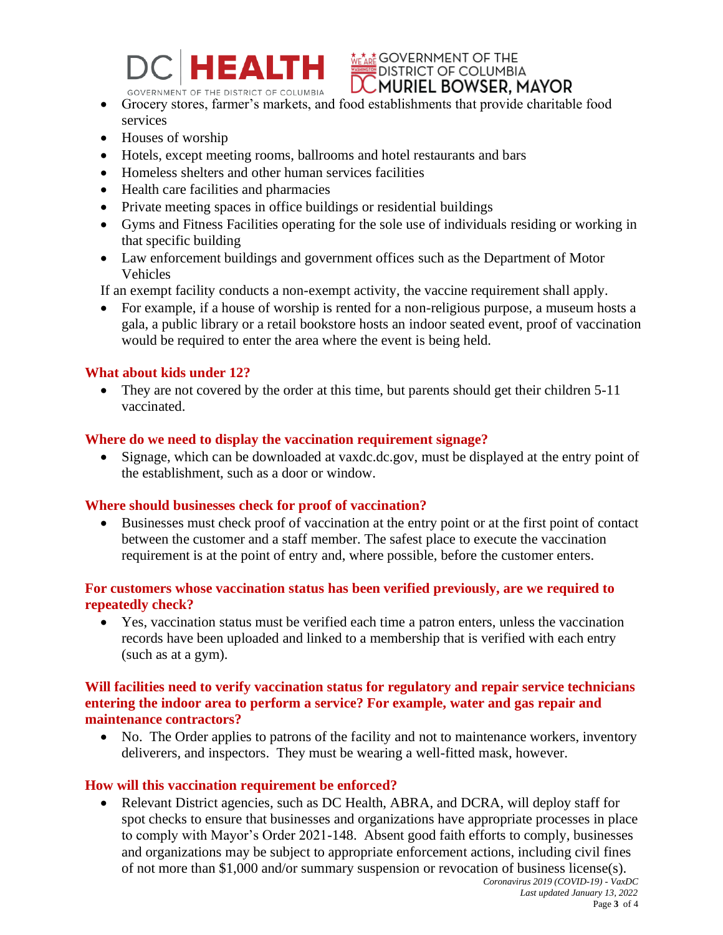

**WE ARE GOVERNMENT OF THE DISTRICT OF COLUMBIA** LUMURIEL BOWSER, MAYOR

- GOVERNMENT OF THE DISTRICT OF COLUMBIA<br>
Grocery stores, farmer's markets, and food establishments that provide charitable food services
- Houses of worship
- Hotels, except meeting rooms, ballrooms and hotel restaurants and bars
- Homeless shelters and other human services facilities
- Health care facilities and pharmacies
- Private meeting spaces in office buildings or residential buildings
- Gyms and Fitness Facilities operating for the sole use of individuals residing or working in that specific building
- Law enforcement buildings and government offices such as the Department of Motor Vehicles

If an exempt facility conducts a non-exempt activity, the vaccine requirement shall apply.

• For example, if a house of worship is rented for a non-religious purpose, a museum hosts a gala, a public library or a retail bookstore hosts an indoor seated event, proof of vaccination would be required to enter the area where the event is being held.

### **What about kids under 12?**

• They are not covered by the order at this time, but parents should get their children 5-11 vaccinated.

## **Where do we need to display the vaccination requirement signage?**

• Signage, which can be downloaded at vaxdc.dc.gov, must be displayed at the entry point of the establishment, such as a door or window.

### **Where should businesses check for proof of vaccination?**

• Businesses must check proof of vaccination at the entry point or at the first point of contact between the customer and a staff member. The safest place to execute the vaccination requirement is at the point of entry and, where possible, before the customer enters.

## **For customers whose vaccination status has been verified previously, are we required to repeatedly check?**

• Yes, vaccination status must be verified each time a patron enters, unless the vaccination records have been uploaded and linked to a membership that is verified with each entry (such as at a gym).

## **Will facilities need to verify vaccination status for regulatory and repair service technicians entering the indoor area to perform a service? For example, water and gas repair and maintenance contractors?**

• No. The Order applies to patrons of the facility and not to maintenance workers, inventory deliverers, and inspectors. They must be wearing a well-fitted mask, however.

### **How will this vaccination requirement be enforced?**

• Relevant District agencies, such as DC Health, ABRA, and DCRA, will deploy staff for spot checks to ensure that businesses and organizations have appropriate processes in place to comply with Mayor's Order 2021-148. Absent good faith efforts to comply, businesses and organizations may be subject to appropriate enforcement actions, including civil fines of not more than \$1,000 and/or summary suspension or revocation of business license(s).